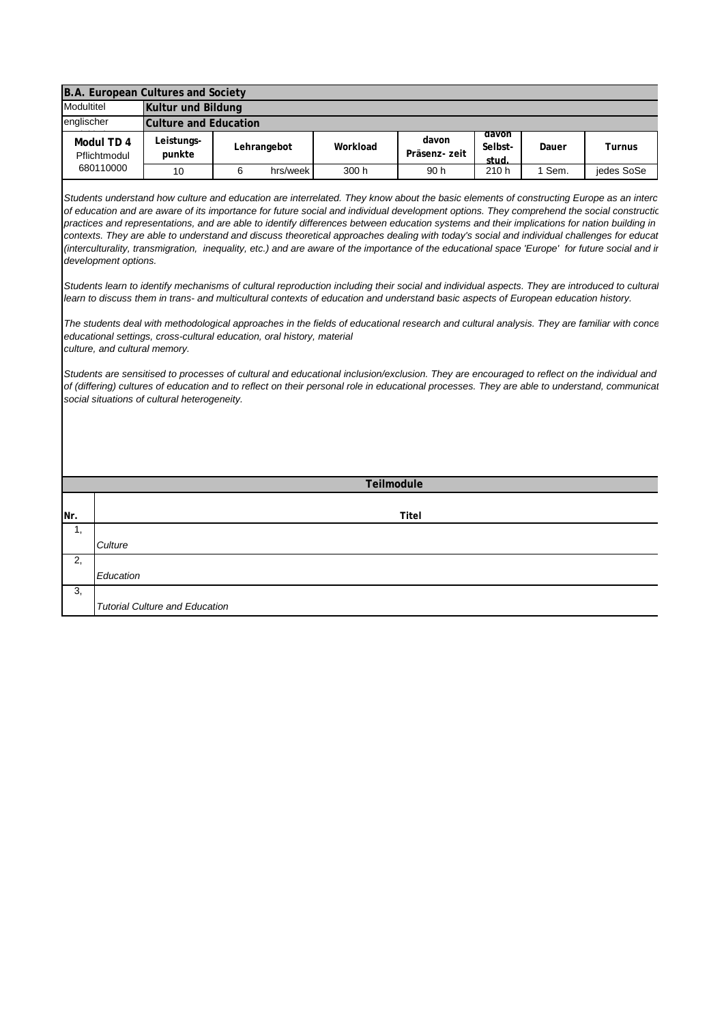|            |                                                       | B.A. European Cultures and Society                                                                                     |             |          |                                                                                                                                                                                                                                                                                                                                                                                                                                                                                                                                                                                                                                                                                                                                                                                                                                                                                                                                                                                                                                                                                                                                                                                                                                                                                                                                                                                                                                                                                     |                        |                           |        |               |
|------------|-------------------------------------------------------|------------------------------------------------------------------------------------------------------------------------|-------------|----------|-------------------------------------------------------------------------------------------------------------------------------------------------------------------------------------------------------------------------------------------------------------------------------------------------------------------------------------------------------------------------------------------------------------------------------------------------------------------------------------------------------------------------------------------------------------------------------------------------------------------------------------------------------------------------------------------------------------------------------------------------------------------------------------------------------------------------------------------------------------------------------------------------------------------------------------------------------------------------------------------------------------------------------------------------------------------------------------------------------------------------------------------------------------------------------------------------------------------------------------------------------------------------------------------------------------------------------------------------------------------------------------------------------------------------------------------------------------------------------------|------------------------|---------------------------|--------|---------------|
| Modultitel |                                                       | Kultur und Bildung                                                                                                     |             |          |                                                                                                                                                                                                                                                                                                                                                                                                                                                                                                                                                                                                                                                                                                                                                                                                                                                                                                                                                                                                                                                                                                                                                                                                                                                                                                                                                                                                                                                                                     |                        |                           |        |               |
| englischer |                                                       | <b>Culture and Education</b>                                                                                           |             |          |                                                                                                                                                                                                                                                                                                                                                                                                                                                                                                                                                                                                                                                                                                                                                                                                                                                                                                                                                                                                                                                                                                                                                                                                                                                                                                                                                                                                                                                                                     |                        |                           |        |               |
|            | Modul TD 4<br>Pflichtmodul                            | Leistungs-<br>punkte                                                                                                   | Lehrangebot |          | Workload                                                                                                                                                                                                                                                                                                                                                                                                                                                                                                                                                                                                                                                                                                                                                                                                                                                                                                                                                                                                                                                                                                                                                                                                                                                                                                                                                                                                                                                                            | davon<br>Präsenz- zeit | aavon<br>Selbst-<br>stud. | Dauer  | <b>Turnus</b> |
|            | 680110000                                             | 10                                                                                                                     | 6           | hrs/week | 300 h                                                                                                                                                                                                                                                                                                                                                                                                                                                                                                                                                                                                                                                                                                                                                                                                                                                                                                                                                                                                                                                                                                                                                                                                                                                                                                                                                                                                                                                                               | 90 h                   | 210 h                     | 1 Sem. | jedes SoSe    |
|            | development options.<br>culture, and cultural memory. | educational settings, cross-cultural education, oral history, material<br>social situations of cultural heterogeneity. |             |          | Students understand how culture and education are interrelated. They know about the basic elements of constructing Europe as an interc<br>of education and are aware of its importance for future social and individual development options. They comprehend the social constructic<br>practices and representations, and are able to identify differences between education systems and their implications for nation building in<br>contexts. They are able to understand and discuss theoretical approaches dealing with today's social and individual challenges for educat<br>(interculturality, transmigration, inequality, etc.) and are aware of the importance of the educational space 'Europe' for future social and in<br>Students learn to identify mechanisms of cultural reproduction including their social and individual aspects. They are introduced to cultura<br>learn to discuss them in trans- and multicultural contexts of education and understand basic aspects of European education history.<br>The students deal with methodological approaches in the fields of educational research and cultural analysis. They are familiar with conce<br>Students are sensitised to processes of cultural and educational inclusion/exclusion. They are encouraged to reflect on the individual and<br>of (differing) cultures of education and to reflect on their personal role in educational processes. They are able to understand, communical<br>Teilmodule |                        |                           |        |               |
|            |                                                       |                                                                                                                        |             |          |                                                                                                                                                                                                                                                                                                                                                                                                                                                                                                                                                                                                                                                                                                                                                                                                                                                                                                                                                                                                                                                                                                                                                                                                                                                                                                                                                                                                                                                                                     |                        |                           |        |               |
| Nr.        |                                                       | Titel                                                                                                                  |             |          |                                                                                                                                                                                                                                                                                                                                                                                                                                                                                                                                                                                                                                                                                                                                                                                                                                                                                                                                                                                                                                                                                                                                                                                                                                                                                                                                                                                                                                                                                     |                        |                           |        |               |
| 1,         | Culture                                               |                                                                                                                        |             |          |                                                                                                                                                                                                                                                                                                                                                                                                                                                                                                                                                                                                                                                                                                                                                                                                                                                                                                                                                                                                                                                                                                                                                                                                                                                                                                                                                                                                                                                                                     |                        |                           |        |               |
| 2,         | Education                                             |                                                                                                                        |             |          |                                                                                                                                                                                                                                                                                                                                                                                                                                                                                                                                                                                                                                                                                                                                                                                                                                                                                                                                                                                                                                                                                                                                                                                                                                                                                                                                                                                                                                                                                     |                        |                           |        |               |
| 3,         |                                                       | <b>Tutorial Culture and Education</b>                                                                                  |             |          |                                                                                                                                                                                                                                                                                                                                                                                                                                                                                                                                                                                                                                                                                                                                                                                                                                                                                                                                                                                                                                                                                                                                                                                                                                                                                                                                                                                                                                                                                     |                        |                           |        |               |